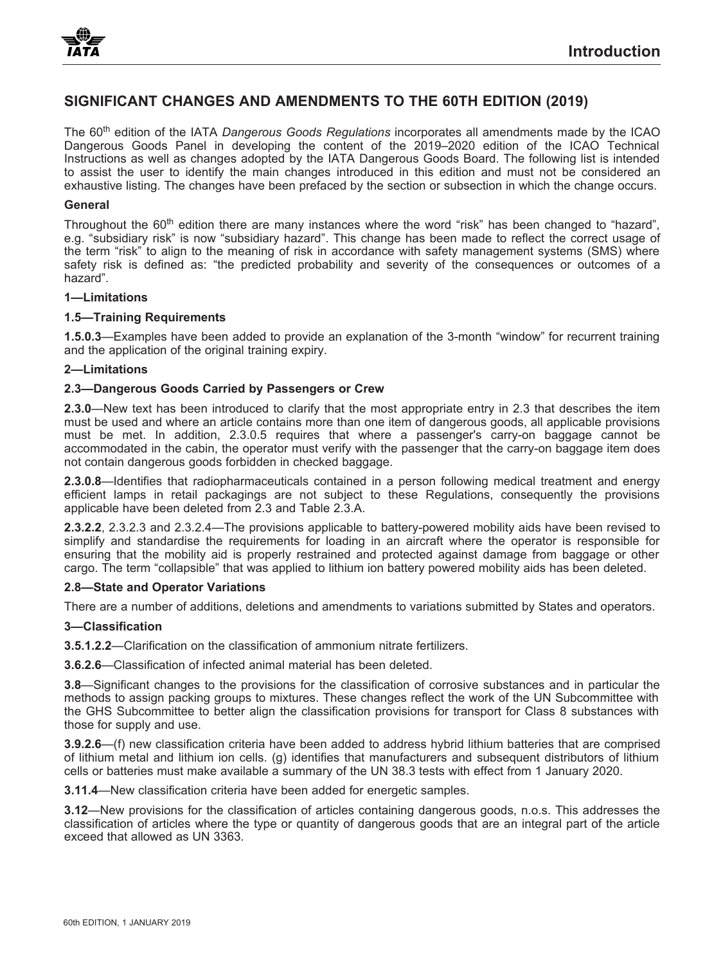# **SIGNIFICANT CHANGES AND AMENDMENTS TO THE 60TH EDITION (2019)**

The 60th edition of the IATA *Dangerous Goods Regulations* incorporates all amendments made by the ICAO Dangerous Goods Panel in developing the content of the 2019–2020 edition of the ICAO Technical Instructions as well as changes adopted by the IATA Dangerous Goods Board. The following list is intended to assist the user to identify the main changes introduced in this edition and must not be considered an exhaustive listing. The changes have been prefaced by the section or subsection in which the change occurs.

#### **General**

Throughout the 60<sup>th</sup> edition there are many instances where the word "risk" has been changed to "hazard", e.g. "subsidiary risk" is now "subsidiary hazard". This change has been made to reflect the correct usage of the term "risk" to align to the meaning of risk in accordance with safety management systems (SMS) where safety risk is defined as: "the predicted probability and severity of the consequences or outcomes of a hazard".

## **1—Limitations**

#### **1.5—Training Requirements**

**1.5.0.3**—Examples have been added to provide an explanation of the 3-month "window" for recurrent training and the application of the original training expiry.

### **2—Limitations**

## **2.3—Dangerous Goods Carried by Passengers or Crew**

**2.3.0**—New text has been introduced to clarify that the most appropriate entry in 2.3 that describes the item must be used and where an article contains more than one item of dangerous goods, all applicable provisions must be met. In addition, 2.3.0.5 requires that where a passenger's carry-on baggage cannot be accommodated in the cabin, the operator must verify with the passenger that the carry-on baggage item does not contain dangerous goods forbidden in checked baggage.

**2.3.0.8**—Identifies that radiopharmaceuticals contained in a person following medical treatment and energy efficient lamps in retail packagings are not subject to these Regulations, consequently the provisions applicable have been deleted from 2.3 and Table 2.3.A.

**2.3.2.2**, 2.3.2.3 and 2.3.2.4—The provisions applicable to battery-powered mobility aids have been revised to simplify and standardise the requirements for loading in an aircraft where the operator is responsible for ensuring that the mobility aid is properly restrained and protected against damage from baggage or other cargo. The term "collapsible" that was applied to lithium ion battery powered mobility aids has been deleted.

#### **2.8—State and Operator Variations**

There are a number of additions, deletions and amendments to variations submitted by States and operators.

#### **3—Classification**

**3.5.1.2.2**—Clarification on the classification of ammonium nitrate fertilizers.

**3.6.2.6**—Classification of infected animal material has been deleted.

**3.8**—Significant changes to the provisions for the classification of corrosive substances and in particular the methods to assign packing groups to mixtures. These changes reflect the work of the UN Subcommittee with the GHS Subcommittee to better align the classification provisions for transport for Class 8 substances with those for supply and use.

**3.9.2.6**—(f) new classification criteria have been added to address hybrid lithium batteries that are comprised of lithium metal and lithium ion cells. (g) identifies that manufacturers and subsequent distributors of lithium cells or batteries must make available a summary of the UN 38.3 tests with effect from 1 January 2020.

**3.11.4**—New classification criteria have been added for energetic samples.

**3.12**—New provisions for the classification of articles containing dangerous goods, n.o.s. This addresses the classification of articles where the type or quantity of dangerous goods that are an integral part of the article exceed that allowed as UN 3363.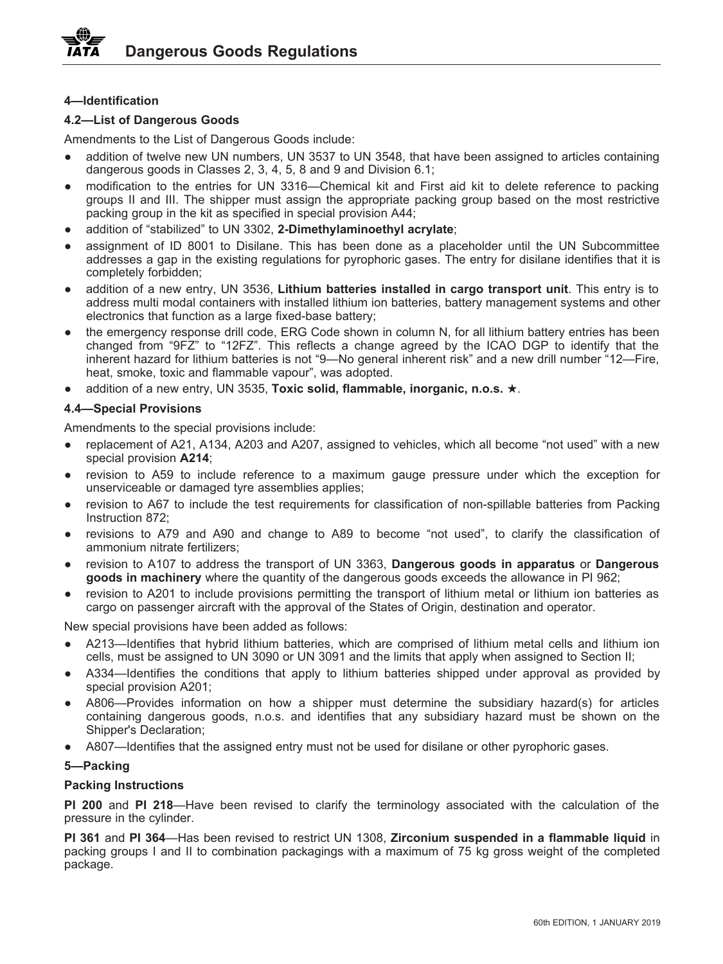# **4—Identification**

# **4.2—List of Dangerous Goods**

Amendments to the List of Dangerous Goods include:

- addition of twelve new UN numbers, UN 3537 to UN 3548, that have been assigned to articles containing dangerous goods in Classes 2, 3, 4, 5, 8 and 9 and Division 6.1;
- modification to the entries for UN 3316—Chemical kit and First aid kit to delete reference to packing groups II and III. The shipper must assign the appropriate packing group based on the most restrictive packing group in the kit as specified in special provision A44;
- addition of "stabilized" to UN 3302, **2-Dimethylaminoethyl acrylate**;
- assignment of ID 8001 to Disilane. This has been done as a placeholder until the UN Subcommittee addresses a gap in the existing regulations for pyrophoric gases. The entry for disilane identifies that it is completely forbidden;
- addition of a new entry, UN 3536, **Lithium batteries installed in cargo transport unit**. This entry is to address multi modal containers with installed lithium ion batteries, battery management systems and other electronics that function as a large fixed-base battery;
- the emergency response drill code, ERG Code shown in column N, for all lithium battery entries has been changed from "9FZ" to "12FZ". This reflects a change agreed by the ICAO DGP to identify that the inherent hazard for lithium batteries is not "9—No general inherent risk" and a new drill number "12—Fire, heat, smoke, toxic and flammable vapour", was adopted.
- addition of a new entry, UN 3535, **Toxic solid, flammable, inorganic, n.o.s.** .

# **4.4—Special Provisions**

Amendments to the special provisions include:

- replacement of A21, A134, A203 and A207, assigned to vehicles, which all become "not used" with a new special provision **A214**;
- revision to A59 to include reference to a maximum gauge pressure under which the exception for unserviceable or damaged tyre assemblies applies;
- revision to A67 to include the test requirements for classification of non-spillable batteries from Packing Instruction 872;
- revisions to A79 and A90 and change to A89 to become "not used", to clarify the classification of ammonium nitrate fertilizers;
- revision to A107 to address the transport of UN 3363, **Dangerous goods in apparatus** or **Dangerous goods in machinery** where the quantity of the dangerous goods exceeds the allowance in PI 962;
- revision to A201 to include provisions permitting the transport of lithium metal or lithium ion batteries as cargo on passenger aircraft with the approval of the States of Origin, destination and operator.

New special provisions have been added as follows:

- A213—Identifies that hybrid lithium batteries, which are comprised of lithium metal cells and lithium ion cells, must be assigned to UN 3090 or UN 3091 and the limits that apply when assigned to Section II;
- A334—Identifies the conditions that apply to lithium batteries shipped under approval as provided by special provision A201;
- A806—Provides information on how a shipper must determine the subsidiary hazard(s) for articles containing dangerous goods, n.o.s. and identifies that any subsidiary hazard must be shown on the Shipper's Declaration;
- A807—Identifies that the assigned entry must not be used for disilane or other pyrophoric gases.

# **5—Packing**

# **Packing Instructions**

**PI 200** and **PI 218**—Have been revised to clarify the terminology associated with the calculation of the pressure in the cylinder.

**PI 361** and **PI 364**—Has been revised to restrict UN 1308, **Zirconium suspended in a flammable liquid** in packing groups I and II to combination packagings with a maximum of 75 kg gross weight of the completed package.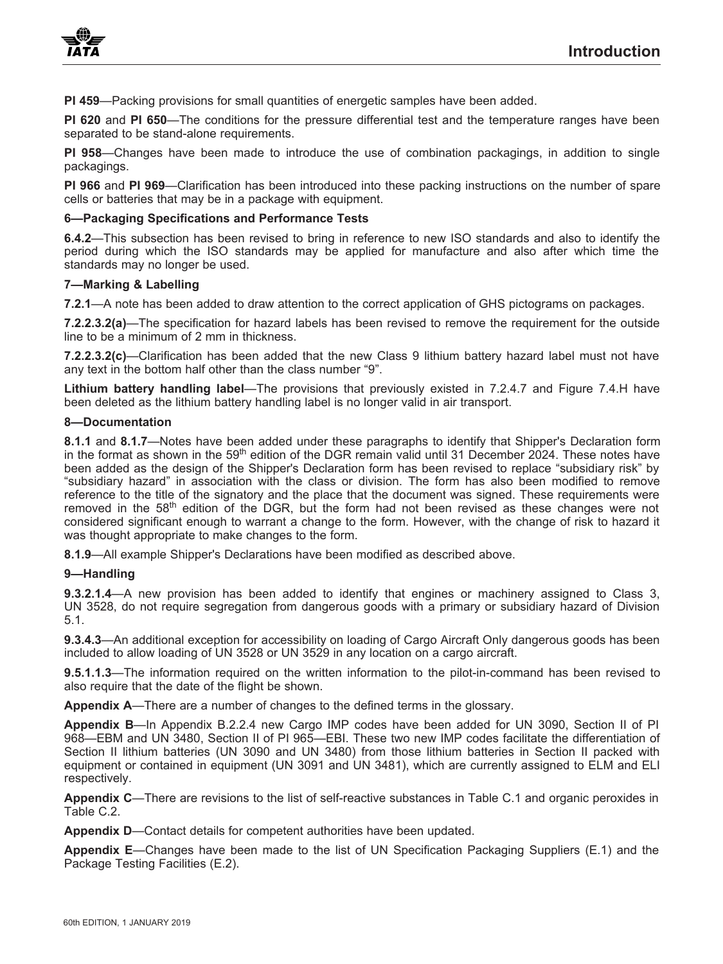**PI 459**—Packing provisions for small quantities of energetic samples have been added.

**PI 620** and **PI 650**—The conditions for the pressure differential test and the temperature ranges have been separated to be stand-alone requirements.

**PI 958**—Changes have been made to introduce the use of combination packagings, in addition to single packagings.

**PI 966** and **PI 969**—Clarification has been introduced into these packing instructions on the number of spare cells or batteries that may be in a package with equipment.

# **6—Packaging Specifications and Performance Tests**

**6.4.2**—This subsection has been revised to bring in reference to new ISO standards and also to identify the period during which the ISO standards may be applied for manufacture and also after which time the standards may no longer be used.

# **7—Marking & Labelling**

**7.2.1**—A note has been added to draw attention to the correct application of GHS pictograms on packages.

**7.2.2.3.2(a)**—The specification for hazard labels has been revised to remove the requirement for the outside line to be a minimum of 2 mm in thickness.

**7.2.2.3.2(c)**—Clarification has been added that the new Class 9 lithium battery hazard label must not have any text in the bottom half other than the class number "9".

**Lithium battery handling label**—The provisions that previously existed in 7.2.4.7 and Figure 7.4.H have been deleted as the lithium battery handling label is no longer valid in air transport.

## **8—Documentation**

**8.1.1** and **8.1.7**—Notes have been added under these paragraphs to identify that Shipper's Declaration form in the format as shown in the 59<sup>th</sup> edition of the DGR remain valid until 31 December 2024. These notes have been added as the design of the Shipper's Declaration form has been revised to replace "subsidiary risk" by "subsidiary hazard" in association with the class or division. The form has also been modified to remove reference to the title of the signatory and the place that the document was signed. These requirements were removed in the 58<sup>th</sup> edition of the DGR, but the form had not been revised as these changes were not considered significant enough to warrant a change to the form. However, with the change of risk to hazard it was thought appropriate to make changes to the form.

**8.1.9**—All example Shipper's Declarations have been modified as described above.

# **9—Handling**

**9.3.2.1.4**—A new provision has been added to identify that engines or machinery assigned to Class 3, UN 3528, do not require segregation from dangerous goods with a primary or subsidiary hazard of Division 5.1.

**9.3.4.3**—An additional exception for accessibility on loading of Cargo Aircraft Only dangerous goods has been included to allow loading of UN 3528 or UN 3529 in any location on a cargo aircraft.

**9.5.1.1.3**—The information required on the written information to the pilot-in-command has been revised to also require that the date of the flight be shown.

**Appendix A**—There are a number of changes to the defined terms in the glossary.

**Appendix B**—In Appendix B.2.2.4 new Cargo IMP codes have been added for UN 3090, Section II of PI 968—EBM and UN 3480, Section II of PI 965—EBI. These two new IMP codes facilitate the differentiation of Section II lithium batteries (UN 3090 and UN 3480) from those lithium batteries in Section II packed with equipment or contained in equipment (UN 3091 and UN 3481), which are currently assigned to ELM and ELI respectively.

**Appendix C**—There are revisions to the list of self-reactive substances in Table C.1 and organic peroxides in Table C.2.

**Appendix D**—Contact details for competent authorities have been updated.

**Appendix E**—Changes have been made to the list of UN Specification Packaging Suppliers (E.1) and the Package Testing Facilities (E.2).